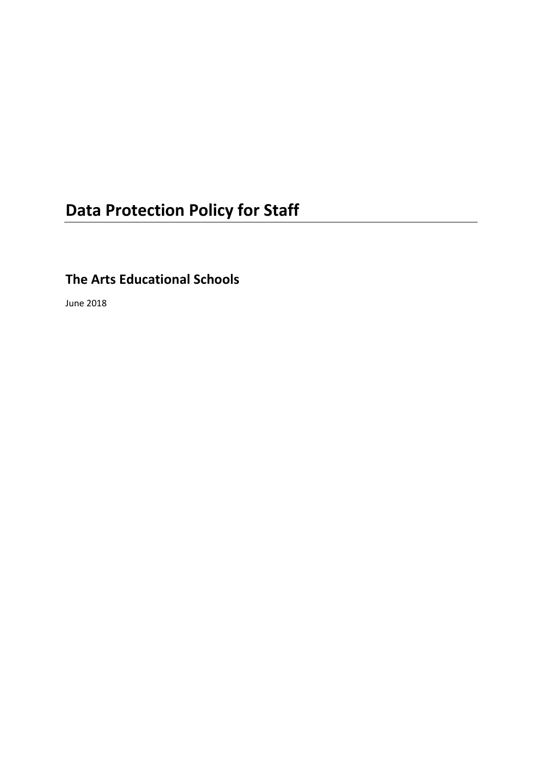# **Data Protection Policy for Staff**

## **The Arts Educational Schools**

June 2018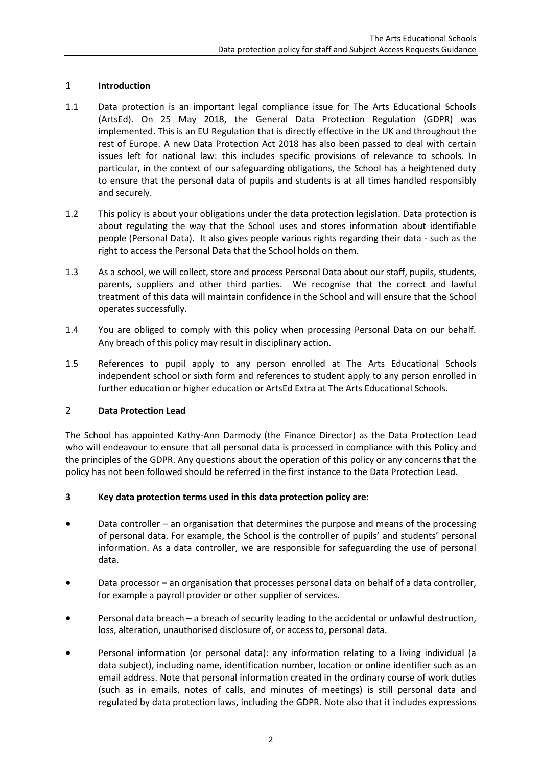### 1 **Introduction**

- 1.1 Data protection is an important legal compliance issue for The Arts Educational Schools (ArtsEd). On 25 May 2018, the General Data Protection Regulation (GDPR) was implemented. This is an EU Regulation that is directly effective in the UK and throughout the rest of Europe. A new Data Protection Act 2018 has also been passed to deal with certain issues left for national law: this includes specific provisions of relevance to schools. In particular, in the context of our safeguarding obligations, the School has a heightened duty to ensure that the personal data of pupils and students is at all times handled responsibly and securely.
- 1.2 This policy is about your obligations under the data protection legislation. Data protection is about regulating the way that the School uses and stores information about identifiable people (Personal Data). It also gives people various rights regarding their data - such as the right to access the Personal Data that the School holds on them.
- 1.3 As a school, we will collect, store and process Personal Data about our staff, pupils, students, parents, suppliers and other third parties. We recognise that the correct and lawful treatment of this data will maintain confidence in the School and will ensure that the School operates successfully.
- 1.4 You are obliged to comply with this policy when processing Personal Data on our behalf. Any breach of this policy may result in disciplinary action.
- 1.5 References to pupil apply to any person enrolled at The Arts Educational Schools independent school or sixth form and references to student apply to any person enrolled in further education or higher education or ArtsEd Extra at The Arts Educational Schools.

### 2 **Data Protection Lead**

The School has appointed Kathy-Ann Darmody (the Finance Director) as the Data Protection Lead who will endeavour to ensure that all personal data is processed in compliance with this Policy and the principles of the GDPR. Any questions about the operation of this policy or any concerns that the policy has not been followed should be referred in the first instance to the Data Protection Lead.

### **3 Key data protection terms used in this data protection policy are:**

- Data controller an organisation that determines the purpose and means of the processing of personal data. For example, the School is the controller of pupils' and students' personal information. As a data controller, we are responsible for safeguarding the use of personal data.
- Data processor **–** an organisation that processes personal data on behalf of a data controller, for example a payroll provider or other supplier of services.
- Personal data breach a breach of security leading to the accidental or unlawful destruction, loss, alteration, unauthorised disclosure of, or access to, personal data.
- Personal information (or personal data): any information relating to a living individual (a data subject), including name, identification number, location or online identifier such as an email address. Note that personal information created in the ordinary course of work duties (such as in emails, notes of calls, and minutes of meetings) is still personal data and regulated by data protection laws, including the GDPR. Note also that it includes expressions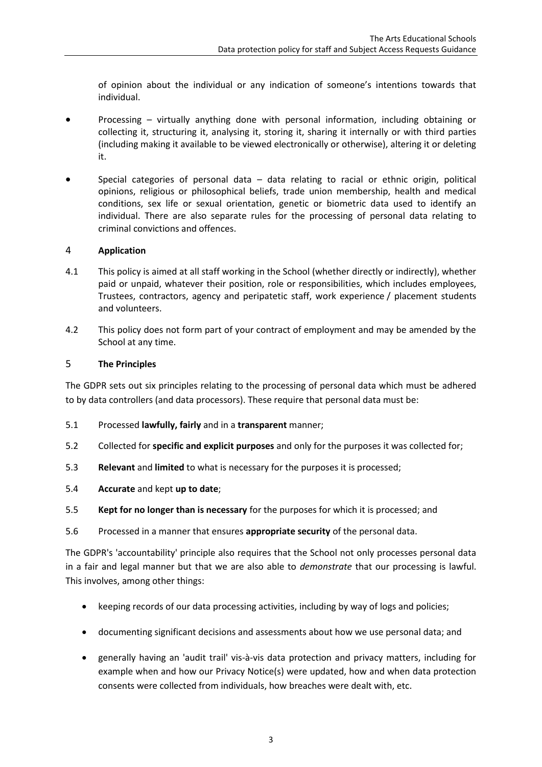of opinion about the individual or any indication of someone's intentions towards that individual.

- Processing virtually anything done with personal information, including obtaining or collecting it, structuring it, analysing it, storing it, sharing it internally or with third parties (including making it available to be viewed electronically or otherwise), altering it or deleting it.
- Special categories of personal data data relating to racial or ethnic origin, political opinions, religious or philosophical beliefs, trade union membership, health and medical conditions, sex life or sexual orientation, genetic or biometric data used to identify an individual. There are also separate rules for the processing of personal data relating to criminal convictions and offences.

### 4 **Application**

- 4.1 This policy is aimed at all staff working in the School (whether directly or indirectly), whether paid or unpaid, whatever their position, role or responsibilities, which includes employees, Trustees, contractors, agency and peripatetic staff, work experience / placement students and volunteers.
- 4.2 This policy does not form part of your contract of employment and may be amended by the School at any time.

### 5 **The Principles**

The GDPR sets out six principles relating to the processing of personal data which must be adhered to by data controllers (and data processors). These require that personal data must be:

- 5.1 Processed **lawfully, fairly** and in a **transparent** manner;
- 5.2 Collected for **specific and explicit purposes** and only for the purposes it was collected for;
- 5.3 **Relevant** and **limited** to what is necessary for the purposes it is processed;
- 5.4 **Accurate** and kept **up to date**;
- 5.5 **Kept for no longer than is necessary** for the purposes for which it is processed; and
- 5.6 Processed in a manner that ensures **appropriate security** of the personal data.

The GDPR's 'accountability' principle also requires that the School not only processes personal data in a fair and legal manner but that we are also able to *demonstrate* that our processing is lawful. This involves, among other things:

- keeping records of our data processing activities, including by way of logs and policies;
- documenting significant decisions and assessments about how we use personal data; and
- generally having an 'audit trail' vis-à-vis data protection and privacy matters, including for example when and how our Privacy Notice(s) were updated, how and when data protection consents were collected from individuals, how breaches were dealt with, etc.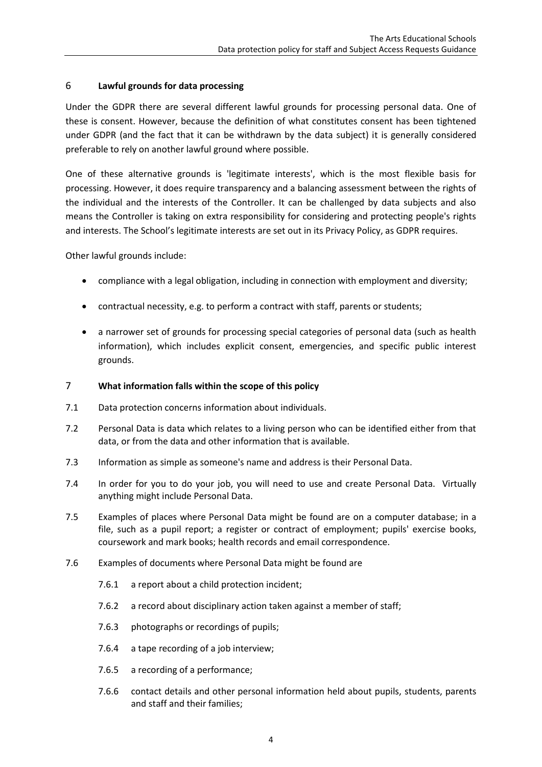### 6 **Lawful grounds for data processing**

Under the GDPR there are several different lawful grounds for processing personal data. One of these is consent. However, because the definition of what constitutes consent has been tightened under GDPR (and the fact that it can be withdrawn by the data subject) it is generally considered preferable to rely on another lawful ground where possible.

One of these alternative grounds is 'legitimate interests', which is the most flexible basis for processing. However, it does require transparency and a balancing assessment between the rights of the individual and the interests of the Controller. It can be challenged by data subjects and also means the Controller is taking on extra responsibility for considering and protecting people's rights and interests. The School's legitimate interests are set out in its Privacy Policy, as GDPR requires.

Other lawful grounds include:

- compliance with a legal obligation, including in connection with employment and diversity;
- contractual necessity, e.g. to perform a contract with staff, parents or students;
- a narrower set of grounds for processing special categories of personal data (such as health information), which includes explicit consent, emergencies, and specific public interest grounds.

### 7 **What information falls within the scope of this policy**

- 7.1 Data protection concerns information about individuals.
- 7.2 Personal Data is data which relates to a living person who can be identified either from that data, or from the data and other information that is available.
- 7.3 Information as simple as someone's name and address is their Personal Data.
- 7.4 In order for you to do your job, you will need to use and create Personal Data. Virtually anything might include Personal Data.
- 7.5 Examples of places where Personal Data might be found are on a computer database; in a file, such as a pupil report; a register or contract of employment; pupils' exercise books, coursework and mark books; health records and email correspondence.
- 7.6 Examples of documents where Personal Data might be found are
	- 7.6.1 a report about a child protection incident;
	- 7.6.2 a record about disciplinary action taken against a member of staff;
	- 7.6.3 photographs or recordings of pupils;
	- 7.6.4 a tape recording of a job interview;
	- 7.6.5 a recording of a performance;
	- 7.6.6 contact details and other personal information held about pupils, students, parents and staff and their families;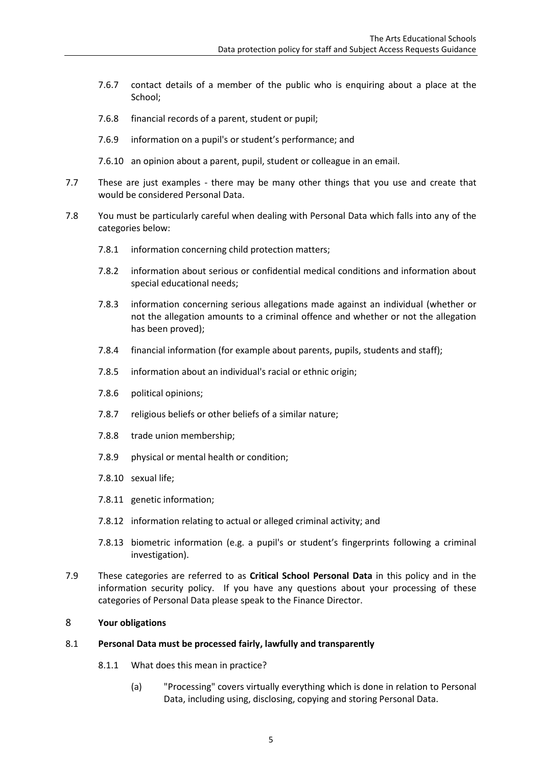- 7.6.7 contact details of a member of the public who is enquiring about a place at the School;
- 7.6.8 financial records of a parent, student or pupil;
- 7.6.9 information on a pupil's or student's performance; and
- 7.6.10 an opinion about a parent, pupil, student or colleague in an email.
- 7.7 These are just examples there may be many other things that you use and create that would be considered Personal Data.
- <span id="page-4-0"></span>7.8 You must be particularly careful when dealing with Personal Data which falls into any of the categories below:
	- 7.8.1 information concerning child protection matters;
	- 7.8.2 information about serious or confidential medical conditions and information about special educational needs;
	- 7.8.3 information concerning serious allegations made against an individual (whether or not the allegation amounts to a criminal offence and whether or not the allegation has been proved);
	- 7.8.4 financial information (for example about parents, pupils, students and staff);
	- 7.8.5 information about an individual's racial or ethnic origin;
	- 7.8.6 political opinions;
	- 7.8.7 religious beliefs or other beliefs of a similar nature;
	- 7.8.8 trade union membership;
	- 7.8.9 physical or mental health or condition;
	- 7.8.10 sexual life;
	- 7.8.11 genetic information;
	- 7.8.12 information relating to actual or alleged criminal activity; and
	- 7.8.13 biometric information (e.g. a pupil's or student's fingerprints following a criminal investigation).
- 7.9 These categories are referred to as **Critical School Personal Data** in this policy and in the information security policy. If you have any questions about your processing of these categories of Personal Data please speak to the Finance Director.

### 8 **Your obligations**

### 8.1 **Personal Data must be processed fairly, lawfully and transparently**

- 8.1.1 What does this mean in practice?
	- (a) "Processing" covers virtually everything which is done in relation to Personal Data, including using, disclosing, copying and storing Personal Data.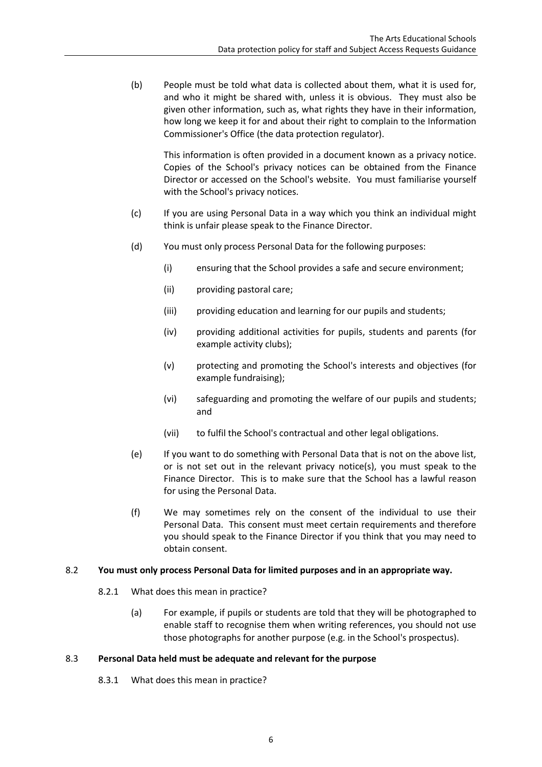(b) People must be told what data is collected about them, what it is used for, and who it might be shared with, unless it is obvious. They must also be given other information, such as, what rights they have in their information, how long we keep it for and about their right to complain to the Information Commissioner's Office (the data protection regulator).

This information is often provided in a document known as a privacy notice. Copies of the School's privacy notices can be obtained from the Finance Director or accessed on the School's website. You must familiarise yourself with the School's privacy notices.

- (c) If you are using Personal Data in a way which you think an individual might think is unfair please speak to the Finance Director.
- (d) You must only process Personal Data for the following purposes:
	- (i) ensuring that the School provides a safe and secure environment;
	- (ii) providing pastoral care;
	- (iii) providing education and learning for our pupils and students;
	- (iv) providing additional activities for pupils, students and parents (for example activity clubs);
	- (v) protecting and promoting the School's interests and objectives (for example fundraising);
	- (vi) safeguarding and promoting the welfare of our pupils and students; and
	- (vii) to fulfil the School's contractual and other legal obligations.
- (e) If you want to do something with Personal Data that is not on the above list, or is not set out in the relevant privacy notice(s), you must speak to the Finance Director. This is to make sure that the School has a lawful reason for using the Personal Data.
- (f) We may sometimes rely on the consent of the individual to use their Personal Data. This consent must meet certain requirements and therefore you should speak to the Finance Director if you think that you may need to obtain consent.

### 8.2 **You must only process Personal Data for limited purposes and in an appropriate way.**

- 8.2.1 What does this mean in practice?
	- (a) For example, if pupils or students are told that they will be photographed to enable staff to recognise them when writing references, you should not use those photographs for another purpose (e.g. in the School's prospectus).

### 8.3 **Personal Data held must be adequate and relevant for the purpose**

8.3.1 What does this mean in practice?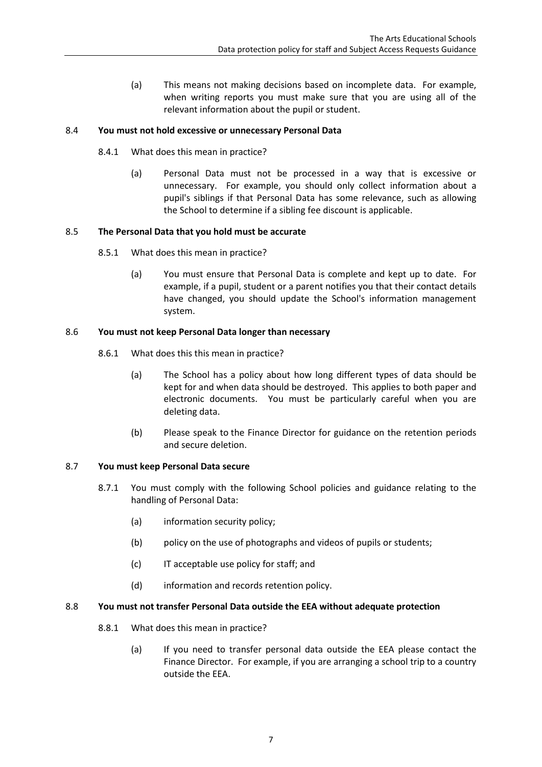(a) This means not making decisions based on incomplete data. For example, when writing reports you must make sure that you are using all of the relevant information about the pupil or student.

### 8.4 **You must not hold excessive or unnecessary Personal Data**

- 8.4.1 What does this mean in practice?
	- (a) Personal Data must not be processed in a way that is excessive or unnecessary. For example, you should only collect information about a pupil's siblings if that Personal Data has some relevance, such as allowing the School to determine if a sibling fee discount is applicable.

### 8.5 **The Personal Data that you hold must be accurate**

- 8.5.1 What does this mean in practice?
	- (a) You must ensure that Personal Data is complete and kept up to date. For example, if a pupil, student or a parent notifies you that their contact details have changed, you should update the School's information management system.

### 8.6 **You must not keep Personal Data longer than necessary**

- 8.6.1 What does this this mean in practice?
	- (a) The School has a policy about how long different types of data should be kept for and when data should be destroyed. This applies to both paper and electronic documents. You must be particularly careful when you are deleting data.
	- (b) Please speak to the Finance Director for guidance on the retention periods and secure deletion.

### 8.7 **You must keep Personal Data secure**

- 8.7.1 You must comply with the following School policies and guidance relating to the handling of Personal Data:
	- (a) information security policy;
	- (b) policy on the use of photographs and videos of pupils or students;
	- (c) IT acceptable use policy for staff; and
	- (d) information and records retention policy.

### 8.8 **You must not transfer Personal Data outside the EEA without adequate protection**

- 8.8.1 What does this mean in practice?
	- (a) If you need to transfer personal data outside the EEA please contact the Finance Director. For example, if you are arranging a school trip to a country outside the EEA.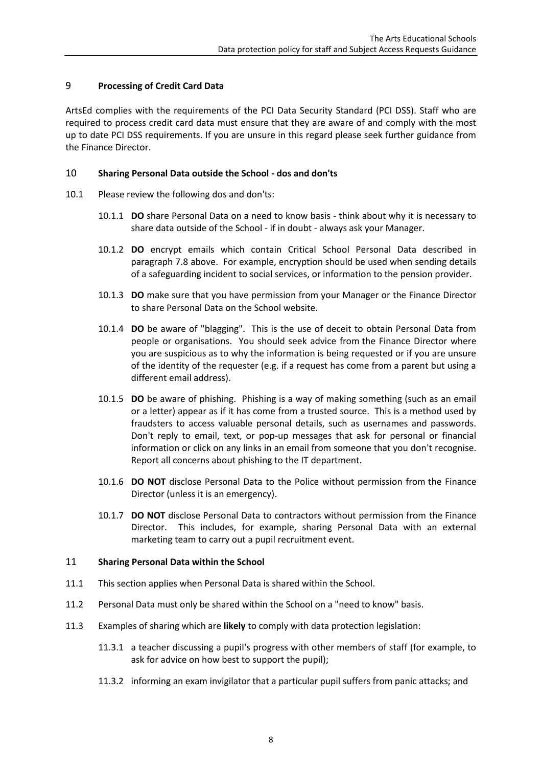### 9 **Processing of Credit Card Data**

ArtsEd complies with the requirements of the PCI Data Security Standard (PCI DSS). Staff who are required to process credit card data must ensure that they are aware of and comply with the most up to date PCI DSS requirements. If you are unsure in this regard please seek further guidance from the Finance Director.

### 10 **Sharing Personal Data outside the School - dos and don'ts**

- 10.1 Please review the following dos and don'ts:
	- 10.1.1 **DO** share Personal Data on a need to know basis think about why it is necessary to share data outside of the School - if in doubt - always ask your Manager.
	- 10.1.2 **DO** encrypt emails which contain Critical School Personal Data described in paragraph [7.8](#page-4-0) above. For example, encryption should be used when sending details of a safeguarding incident to social services, or information to the pension provider.
	- 10.1.3 **DO** make sure that you have permission from your Manager or the Finance Director to share Personal Data on the School website.
	- 10.1.4 **DO** be aware of "blagging". This is the use of deceit to obtain Personal Data from people or organisations. You should seek advice from the Finance Director where you are suspicious as to why the information is being requested or if you are unsure of the identity of the requester (e.g. if a request has come from a parent but using a different email address).
	- 10.1.5 **DO** be aware of phishing. Phishing is a way of making something (such as an email or a letter) appear as if it has come from a trusted source. This is a method used by fraudsters to access valuable personal details, such as usernames and passwords. Don't reply to email, text, or pop-up messages that ask for personal or financial information or click on any links in an email from someone that you don't recognise. Report all concerns about phishing to the IT department.
	- 10.1.6 **DO NOT** disclose Personal Data to the Police without permission from the Finance Director (unless it is an emergency).
	- 10.1.7 **DO NOT** disclose Personal Data to contractors without permission from the Finance Director. This includes, for example, sharing Personal Data with an external marketing team to carry out a pupil recruitment event.

### 11 **Sharing Personal Data within the School**

- 11.1 This section applies when Personal Data is shared within the School.
- 11.2 Personal Data must only be shared within the School on a "need to know" basis.
- 11.3 Examples of sharing which are **likely** to comply with data protection legislation:
	- 11.3.1 a teacher discussing a pupil's progress with other members of staff (for example, to ask for advice on how best to support the pupil);
	- 11.3.2 informing an exam invigilator that a particular pupil suffers from panic attacks; and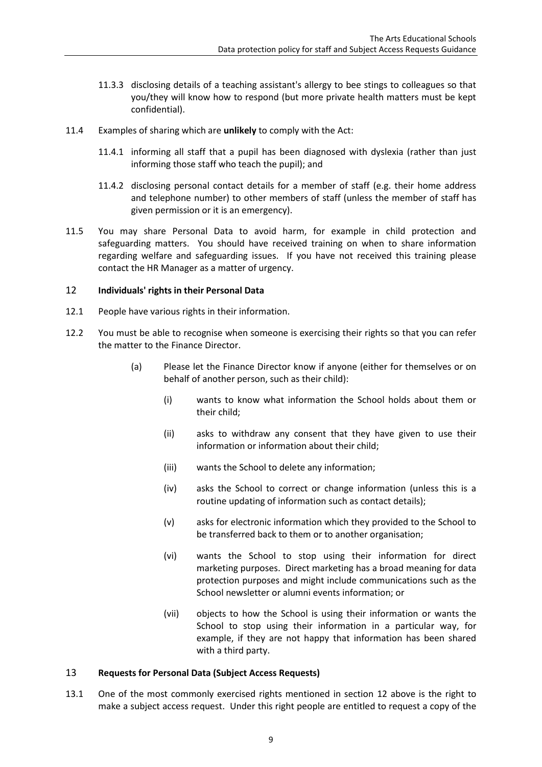- 11.3.3 disclosing details of a teaching assistant's allergy to bee stings to colleagues so that you/they will know how to respond (but more private health matters must be kept confidential).
- 11.4 Examples of sharing which are **unlikely** to comply with the Act:
	- 11.4.1 informing all staff that a pupil has been diagnosed with dyslexia (rather than just informing those staff who teach the pupil); and
	- 11.4.2 disclosing personal contact details for a member of staff (e.g. their home address and telephone number) to other members of staff (unless the member of staff has given permission or it is an emergency).
- 11.5 You may share Personal Data to avoid harm, for example in child protection and safeguarding matters. You should have received training on when to share information regarding welfare and safeguarding issues. If you have not received this training please contact the HR Manager as a matter of urgency.

### 12 **Individuals' rights in their Personal Data**

- 12.1 People have various rights in their information.
- 12.2 You must be able to recognise when someone is exercising their rights so that you can refer the matter to the Finance Director.
	- (a) Please let the Finance Director know if anyone (either for themselves or on behalf of another person, such as their child):
		- (i) wants to know what information the School holds about them or their child;
		- (ii) asks to withdraw any consent that they have given to use their information or information about their child;
		- (iii) wants the School to delete any information;
		- (iv) asks the School to correct or change information (unless this is a routine updating of information such as contact details);
		- (v) asks for electronic information which they provided to the School to be transferred back to them or to another organisation;
		- (vi) wants the School to stop using their information for direct marketing purposes. Direct marketing has a broad meaning for data protection purposes and might include communications such as the School newsletter or alumni events information; or
		- (vii) objects to how the School is using their information or wants the School to stop using their information in a particular way, for example, if they are not happy that information has been shared with a third party.

### 13 **Requests for Personal Data (Subject Access Requests)**

13.1 One of the most commonly exercised rights mentioned in section 12 above is the right to make a subject access request. Under this right people are entitled to request a copy of the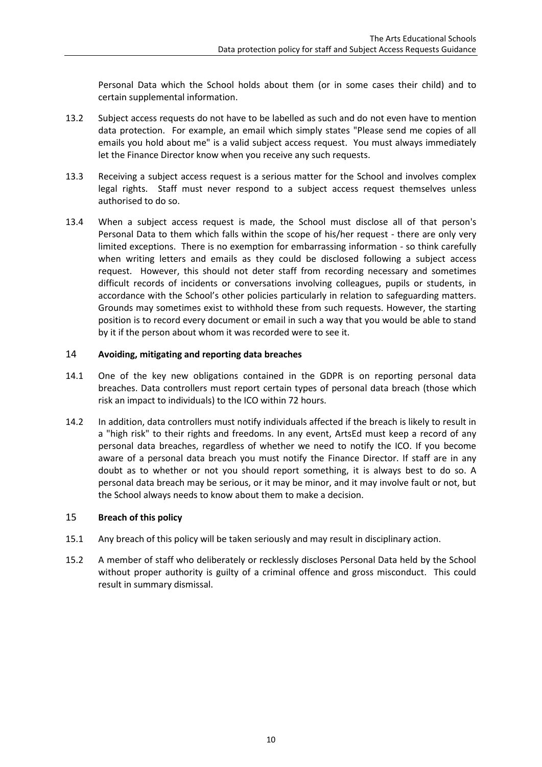Personal Data which the School holds about them (or in some cases their child) and to certain supplemental information.

- 13.2 Subject access requests do not have to be labelled as such and do not even have to mention data protection. For example, an email which simply states "Please send me copies of all emails you hold about me" is a valid subject access request. You must always immediately let the Finance Director know when you receive any such requests.
- 13.3 Receiving a subject access request is a serious matter for the School and involves complex legal rights. Staff must never respond to a subject access request themselves unless authorised to do so.
- 13.4 When a subject access request is made, the School must disclose all of that person's Personal Data to them which falls within the scope of his/her request - there are only very limited exceptions. There is no exemption for embarrassing information - so think carefully when writing letters and emails as they could be disclosed following a subject access request. However, this should not deter staff from recording necessary and sometimes difficult records of incidents or conversations involving colleagues, pupils or students, in accordance with the School's other policies particularly in relation to safeguarding matters. Grounds may sometimes exist to withhold these from such requests. However, the starting position is to record every document or email in such a way that you would be able to stand by it if the person about whom it was recorded were to see it.

### 14 **Avoiding, mitigating and reporting data breaches**

- 14.1 One of the key new obligations contained in the GDPR is on reporting personal data breaches. Data controllers must report certain types of personal data breach (those which risk an impact to individuals) to the ICO within 72 hours.
- 14.2 In addition, data controllers must notify individuals affected if the breach is likely to result in a "high risk" to their rights and freedoms. In any event, ArtsEd must keep a record of any personal data breaches, regardless of whether we need to notify the ICO. If you become aware of a personal data breach you must notify the Finance Director. If staff are in any doubt as to whether or not you should report something, it is always best to do so. A personal data breach may be serious, or it may be minor, and it may involve fault or not, but the School always needs to know about them to make a decision.

### 15 **Breach of this policy**

- 15.1 Any breach of this policy will be taken seriously and may result in disciplinary action.
- 15.2 A member of staff who deliberately or recklessly discloses Personal Data held by the School without proper authority is guilty of a criminal offence and gross misconduct. This could result in summary dismissal.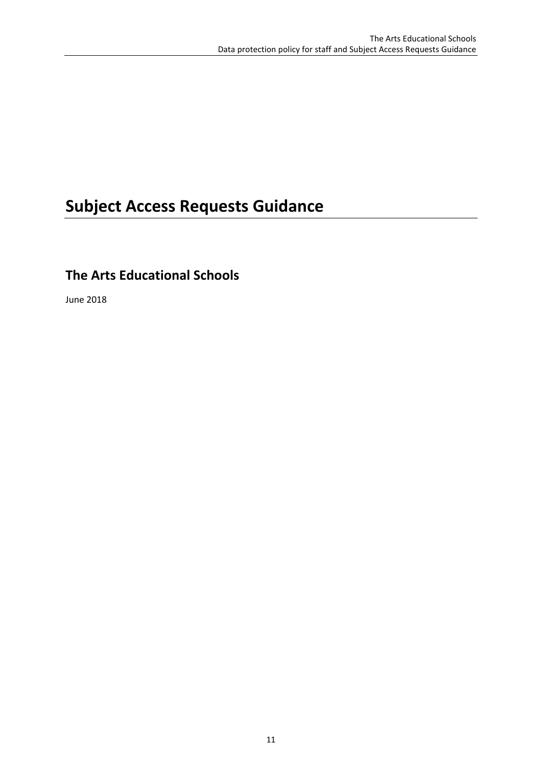## **Subject Access Requests Guidance**

### **The Arts Educational Schools**

June 2018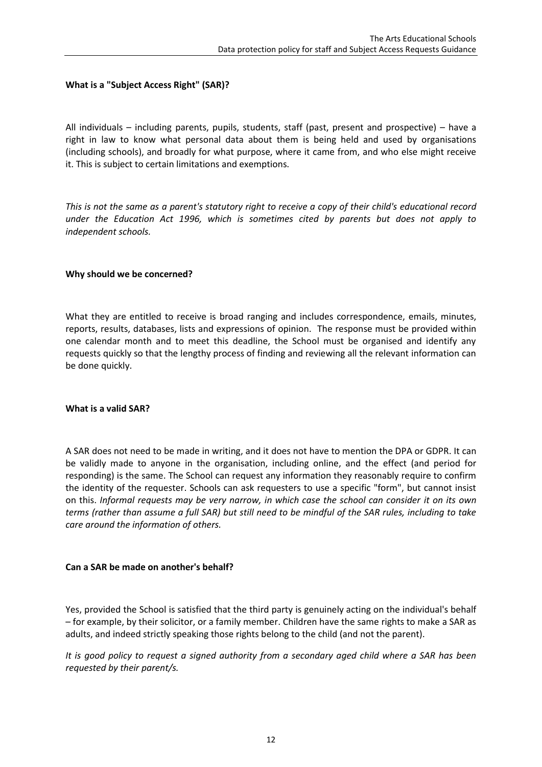### **What is a "Subject Access Right" (SAR)?**

All individuals – including parents, pupils, students, staff (past, present and prospective) – have a right in law to know what personal data about them is being held and used by organisations (including schools), and broadly for what purpose, where it came from, and who else might receive it. This is subject to certain limitations and exemptions.

*This is not the same as a parent's statutory right to receive a copy of their child's educational record under the Education Act 1996, which is sometimes cited by parents but does not apply to independent schools.* 

### **Why should we be concerned?**

What they are entitled to receive is broad ranging and includes correspondence, emails, minutes, reports, results, databases, lists and expressions of opinion. The response must be provided within one calendar month and to meet this deadline, the School must be organised and identify any requests quickly so that the lengthy process of finding and reviewing all the relevant information can be done quickly.

#### **What is a valid SAR?**

A SAR does not need to be made in writing, and it does not have to mention the DPA or GDPR. It can be validly made to anyone in the organisation, including online, and the effect (and period for responding) is the same. The School can request any information they reasonably require to confirm the identity of the requester. Schools can ask requesters to use a specific "form", but cannot insist on this. *Informal requests may be very narrow, in which case the school can consider it on its own terms (rather than assume a full SAR) but still need to be mindful of the SAR rules, including to take care around the information of others.*

### **Can a SAR be made on another's behalf?**

Yes, provided the School is satisfied that the third party is genuinely acting on the individual's behalf – for example, by their solicitor, or a family member. Children have the same rights to make a SAR as adults, and indeed strictly speaking those rights belong to the child (and not the parent).

*It is good policy to request a signed authority from a secondary aged child where a SAR has been requested by their parent/s.*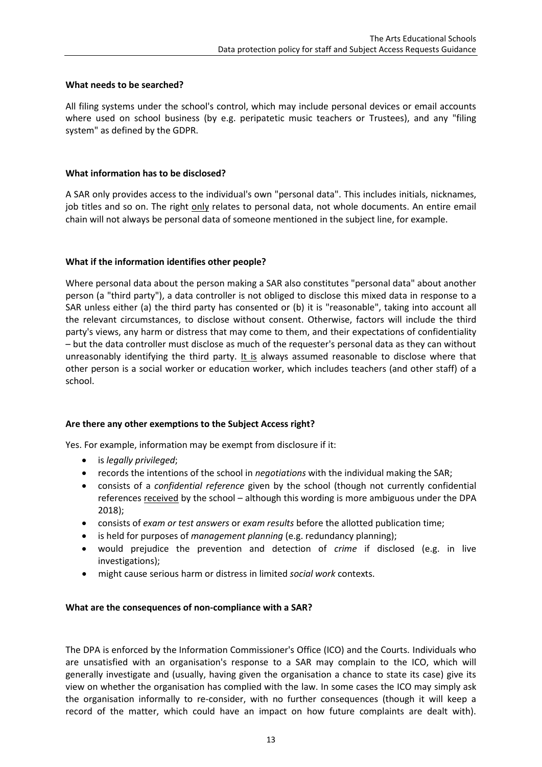### **What needs to be searched?**

All filing systems under the school's control, which may include personal devices or email accounts where used on school business (by e.g. peripatetic music teachers or Trustees), and any "filing system" as defined by the GDPR.

### **What information has to be disclosed?**

A SAR only provides access to the individual's own "personal data". This includes initials, nicknames, job titles and so on. The right only relates to personal data, not whole documents. An entire email chain will not always be personal data of someone mentioned in the subject line, for example.

### **What if the information identifies other people?**

Where personal data about the person making a SAR also constitutes "personal data" about another person (a "third party"), a data controller is not obliged to disclose this mixed data in response to a SAR unless either (a) the third party has consented or (b) it is "reasonable", taking into account all the relevant circumstances, to disclose without consent. Otherwise, factors will include the third party's views, any harm or distress that may come to them, and their expectations of confidentiality – but the data controller must disclose as much of the requester's personal data as they can without unreasonably identifying the third party. It is always assumed reasonable to disclose where that other person is a social worker or education worker, which includes teachers (and other staff) of a school.

### **Are there any other exemptions to the Subject Access right?**

Yes. For example, information may be exempt from disclosure if it:

- is *legally privileged*;
- records the intentions of the school in *negotiations* with the individual making the SAR;
- consists of a *confidential reference* given by the school (though not currently confidential references received by the school – although this wording is more ambiguous under the DPA 2018);
- consists of *exam or test answers* or *exam results* before the allotted publication time;
- is held for purposes of *management planning* (e.g. redundancy planning);
- would prejudice the prevention and detection of *crime* if disclosed (e.g. in live investigations);
- might cause serious harm or distress in limited *social work* contexts.

### **What are the consequences of non-compliance with a SAR?**

The DPA is enforced by the Information Commissioner's Office (ICO) and the Courts. Individuals who are unsatisfied with an organisation's response to a SAR may complain to the ICO, which will generally investigate and (usually, having given the organisation a chance to state its case) give its view on whether the organisation has complied with the law. In some cases the ICO may simply ask the organisation informally to re-consider, with no further consequences (though it will keep a record of the matter, which could have an impact on how future complaints are dealt with).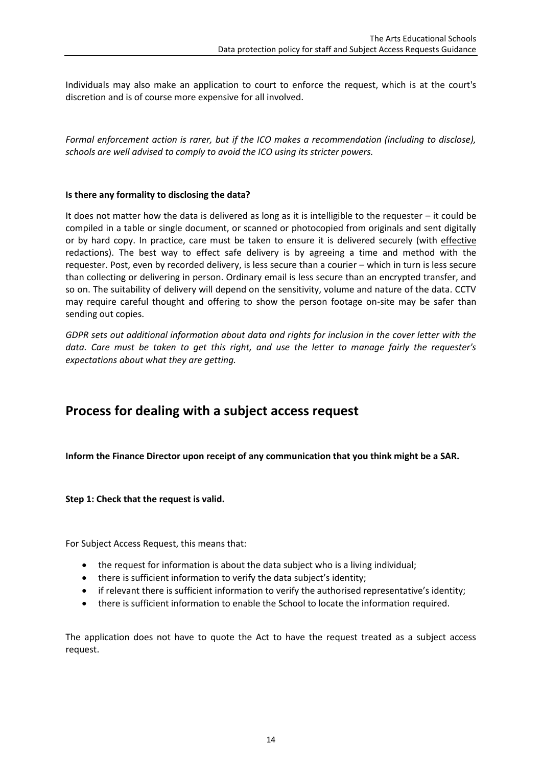Individuals may also make an application to court to enforce the request, which is at the court's discretion and is of course more expensive for all involved.

*Formal enforcement action is rarer, but if the ICO makes a recommendation (including to disclose), schools are well advised to comply to avoid the ICO using its stricter powers.* 

### **Is there any formality to disclosing the data?**

It does not matter how the data is delivered as long as it is intelligible to the requester – it could be compiled in a table or single document, or scanned or photocopied from originals and sent digitally or by hard copy. In practice, care must be taken to ensure it is delivered securely (with effective redactions). The best way to effect safe delivery is by agreeing a time and method with the requester. Post, even by recorded delivery, is less secure than a courier – which in turn is less secure than collecting or delivering in person. Ordinary email is less secure than an encrypted transfer, and so on. The suitability of delivery will depend on the sensitivity, volume and nature of the data. CCTV may require careful thought and offering to show the person footage on-site may be safer than sending out copies.

*GDPR sets out additional information about data and rights for inclusion in the cover letter with the data. Care must be taken to get this right, and use the letter to manage fairly the requester's expectations about what they are getting.*

### **Process for dealing with a subject access request**

**Inform the Finance Director upon receipt of any communication that you think might be a SAR.**

**Step 1: Check that the request is valid.**

For Subject Access Request, this means that:

- the request for information is about the data subject who is a living individual;
- there is sufficient information to verify the data subject's identity;
- if relevant there is sufficient information to verify the authorised representative's identity;
- there is sufficient information to enable the School to locate the information required.

The application does not have to quote the Act to have the request treated as a subject access request.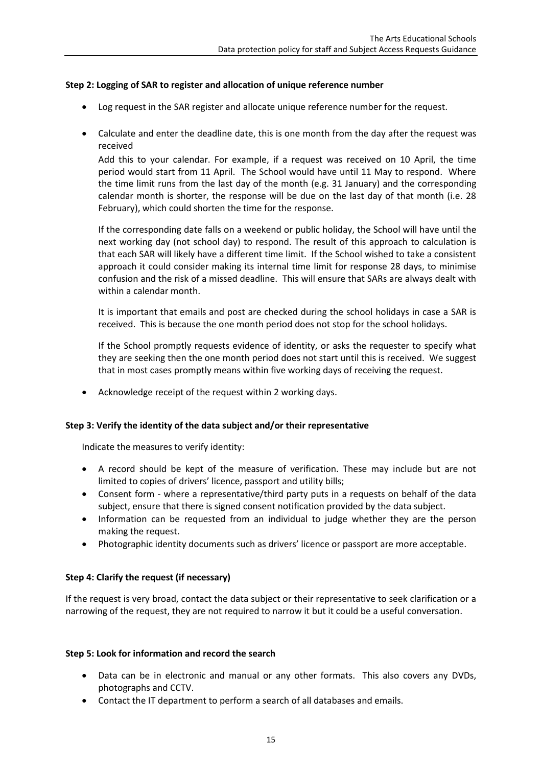### **Step 2: Logging of SAR to register and allocation of unique reference number**

- Log request in the SAR register and allocate unique reference number for the request.
- Calculate and enter the deadline date, this is one month from the day after the request was received

Add this to your calendar. For example, if a request was received on 10 April, the time period would start from 11 April. The School would have until 11 May to respond. Where the time limit runs from the last day of the month (e.g. 31 January) and the corresponding calendar month is shorter, the response will be due on the last day of that month (i.e. 28 February), which could shorten the time for the response.

If the corresponding date falls on a weekend or public holiday, the School will have until the next working day (not school day) to respond. The result of this approach to calculation is that each SAR will likely have a different time limit. If the School wished to take a consistent approach it could consider making its internal time limit for response 28 days, to minimise confusion and the risk of a missed deadline. This will ensure that SARs are always dealt with within a calendar month.

It is important that emails and post are checked during the school holidays in case a SAR is received. This is because the one month period does not stop for the school holidays.

If the School promptly requests evidence of identity, or asks the requester to specify what they are seeking then the one month period does not start until this is received. We suggest that in most cases promptly means within five working days of receiving the request.

Acknowledge receipt of the request within 2 working days.

### **Step 3: Verify the identity of the data subject and/or their representative**

Indicate the measures to verify identity:

- A record should be kept of the measure of verification. These may include but are not limited to copies of drivers' licence, passport and utility bills;
- Consent form where a representative/third party puts in a requests on behalf of the data subject, ensure that there is signed consent notification provided by the data subject.
- Information can be requested from an individual to judge whether they are the person making the request.
- Photographic identity documents such as drivers' licence or passport are more acceptable.

### **Step 4: Clarify the request (if necessary)**

If the request is very broad, contact the data subject or their representative to seek clarification or a narrowing of the request, they are not required to narrow it but it could be a useful conversation.

### **Step 5: Look for information and record the search**

- Data can be in electronic and manual or any other formats. This also covers any DVDs, photographs and CCTV.
- Contact the IT department to perform a search of all databases and emails.